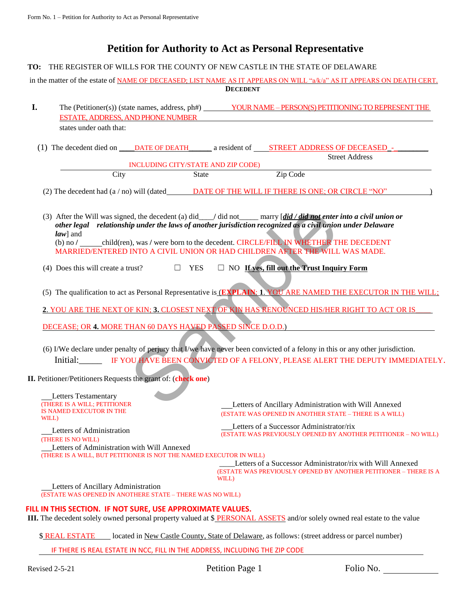## **Petition for Authority to Act as Personal Representative**

## **TO:** THE REGISTER OF WILLS FOR THE COUNTY OF NEW CASTLE IN THE STATE OF DELAWARE

in the matter of the estate of NAME OF DECEASED; LIST NAME AS IT APPEARS ON WILL "a/k/a" AS IT APPEARS ON DEATH CERT. **DECEDENT**

- **I.** The (Petitioner(s)) (state names, address, ph#) YOUR NAME PERSON(S) PETITIONING TO REPRESENT THE ESTATE, ADDRESS, AND PHONE NUMBER states under oath that:
	- (1) The decedent died on \_\_\_\_DATE OF DEATH\_\_\_\_\_\_\_ a resident of \_\_\_\_\_\_STREET ADDRESS OF DECEASED -Street Address

INCLUDING CITY/STATE AND ZIP CODE)

City State Zip Code

(2) The decedent had (a / no) will (dated DATE OF THE WILL IF THERE IS ONE; OR CIRCLE "NO" )

ed, the decedent (a) did <u>and a</u> did not marry [did / did not enter<br>
ip under the laws of another jurisdiction recognized as a civil union<br>
1), was / were born to the decedent. CIRCLE/FILL IN WHETHER TI<br>
INTO A CIVIL UNIO (3) After the Will was signed, the decedent (a) did // did not marry  $\left[ \frac{di}{d} \right]$  *did not enter into a civil union or other legal relationship under the laws of another jurisdiction recognized as a civil union under Delaware law*] and

(b) no **/** child(ren), was **/** were born to the decedent. CIRCLE/FILL IN WHETHER THE DECEDENT MARRIED/ENTERED INTO A CIVIL UNION OR HAD CHILDREN AFTER THE WILL WAS MADE.

- (4) Does this will create a trust?  $\Box$  YES  $\Box$  NO **If yes, fill out the Trust Inquiry Form**
- (5) The qualification to act as Personal Representative is (**EXPLAIN**: **1**. YOU ARE NAMED THE EXECUTOR IN THE WILL;

**2**. YOU ARE THE NEXT OF KIN; **3.** CLOSEST NEXT OF KIN HAS RENOUNCED HIS/HER RIGHT TO ACT OR IS\_\_\_\_

DECEASE; OR **4.** MORE THAN 60 DAYS HAVED PASSED SINCE D.O.D.)

- (6) I/We declare under penalty of perjury that I/we have never been convicted of a felony in this or any other jurisdiction. Initial:\_\_\_\_\_ IF YOU HAVE BEEN CONVICTED OF A FELONY, PLEASE ALERT THE DEPUTY IMMEDIATELY.
- **II.** Petitioner/Petitioners Requests the grant of: (**check** one)

Letters Testamentary (THERE IS A WILL; PETITIONER IS NAMED EXECUTOR IN THE WILL) Letters of Administration (THERE IS NO WILL) Letters of Ancillary Administration with Will Annexed (ESTATE WAS OPENED IN ANOTHER STATE – THERE IS A WILL) Letters of a Successor Administrator/rix (ESTATE WAS PREVIOUSLY OPENED BY ANOTHER PETITIONER – NO WILL) Letters of Administration with Will Annexed (THERE IS A WILL, BUT PETITIONER IS NOT THE NAMED EXECUTOR IN WILL) Letters of a Successor Administrator/rix with Will Annexed (ESTATE WAS PREVIOUSLY OPENED BY ANOTHER PETITIONER – THERE IS A WILL) Letters of Ancillary Administration (ESTATE WAS OPENED IN ANOTHERE STATE – THERE WAS NO WILL)

## **FILL IN THIS SECTION. IF NOT SURE, USE APPROXIMATE VALUES.**

**III.** The decedent solely owned personal property valued at \$ PERSONAL ASSETS and/or solely owned real estate to the value

\$ REAL ESTATE located in New Castle County, State of Delaware, as follows: (street address or parcel number)

IF THERE IS REAL ESTATE IN NCC, FILL IN THE ADDRESS, INCLUDING THE ZIP CODE